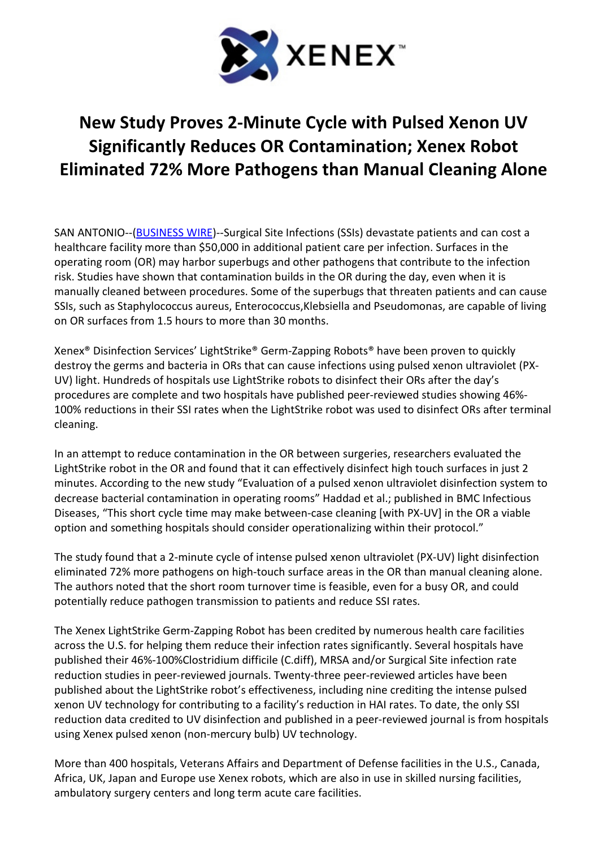

## New Study Proves 2-Minute Cycle with Pulsed Xenon UV Significantly Reduces OR Contamination; Xenex Robot Eliminated 72% More Pathogens than Manual Cleaning Alone

SAN ANTONIO--(BUSINESS WIRE)--Surgical Site Infections (SSIs) devastate patients and can cost a healthcare facility more than \$50,000 in additional patient care per infection. Surfaces in the operating room (OR) may harbor superbugs and other pathogens that contribute to the infection risk. Studies have shown that contamination builds in the OR during the day, even when it is manually cleaned between procedures. Some of the superbugs that threaten patients and can cause SSIs, such as Staphylococcus aureus, Enterococcus,Klebsiella and Pseudomonas, are capable of living on OR surfaces from 1.5 hours to more than 30 months.

Xenex® Disinfection Services' LightStrike® Germ-Zapping Robots® have been proven to quickly destroy the germs and bacteria in ORs that can cause infections using pulsed xenon ultraviolet (PX-UV) light. Hundreds of hospitals use LightStrike robots to disinfect their ORs after the day's procedures are complete and two hospitals have published peer-reviewed studies showing 46%- 100% reductions in their SSI rates when the LightStrike robot was used to disinfect ORs after terminal cleaning.

In an attempt to reduce contamination in the OR between surgeries, researchers evaluated the LightStrike robot in the OR and found that it can effectively disinfect high touch surfaces in just 2 minutes. According to the new study "Evaluation of a pulsed xenon ultraviolet disinfection system to decrease bacterial contamination in operating rooms" Haddad et al.; published in BMC Infectious Diseases, "This short cycle time may make between-case cleaning [with PX-UV] in the OR a viable option and something hospitals should consider operationalizing within their protocol."

The study found that a 2-minute cycle of intense pulsed xenon ultraviolet (PX-UV) light disinfection eliminated 72% more pathogens on high-touch surface areas in the OR than manual cleaning alone. The authors noted that the short room turnover time is feasible, even for a busy OR, and could potentially reduce pathogen transmission to patients and reduce SSI rates.

The Xenex LightStrike Germ-Zapping Robot has been credited by numerous health care facilities across the U.S. for helping them reduce their infection rates significantly. Several hospitals have published their 46%-100%Clostridium difficile (C.diff), MRSA and/or Surgical Site infection rate reduction studies in peer-reviewed journals. Twenty-three peer-reviewed articles have been published about the LightStrike robot's effectiveness, including nine crediting the intense pulsed xenon UV technology for contributing to a facility's reduction in HAI rates. To date, the only SSI reduction data credited to UV disinfection and published in a peer-reviewed journal is from hospitals using Xenex pulsed xenon (non-mercury bulb) UV technology.

More than 400 hospitals, Veterans Affairs and Department of Defense facilities in the U.S., Canada, Africa, UK, Japan and Europe use Xenex robots, which are also in use in skilled nursing facilities, ambulatory surgery centers and long term acute care facilities.